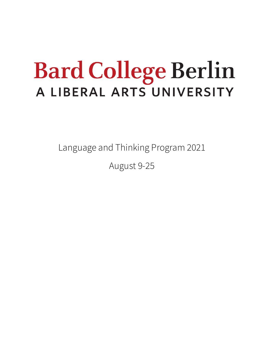## **Bard College Berlin** A LIBERAL ARTS UNIVERSITY

Language and Thinking Program 2021

August 9-25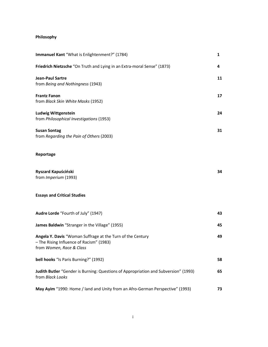## **Philosophy**

| Immanuel Kant "What is Enlightenment?" (1784)                                                                                      | $\mathbf{1}$ |
|------------------------------------------------------------------------------------------------------------------------------------|--------------|
| Friedrich Nietzsche "On Truth and Lying in an Extra-moral Sense" (1873)                                                            | 4            |
| <b>Jean-Paul Sartre</b><br>from Being and Nothingness (1943)                                                                       | 11           |
| <b>Frantz Fanon</b><br>from Black Skin White Masks (1952)                                                                          | 17           |
| <b>Ludwig Wittgenstein</b><br>from Philosophical Investigations (1953)                                                             | 24           |
| <b>Susan Sontag</b><br>from Regarding the Pain of Others (2003)                                                                    | 31           |
| Reportage                                                                                                                          |              |
| Ryszard Kapuściński<br>from Imperium (1993)                                                                                        | 34           |
| <b>Essays and Critical Studies</b>                                                                                                 |              |
| Audre Lorde "Fourth of July" (1947)                                                                                                | 43           |
| James Baldwin "Stranger in the Village" (1955)                                                                                     | 45           |
| Angela Y. Davis "Woman Suffrage at the Turn of the Century<br>- The Rising Influence of Racism" (1983)<br>from Women, Race & Class | 49           |
| bell hooks "Is Paris Burning?" (1992)                                                                                              | 58           |
| Judith Butler "Gender is Burning: Questions of Appropriation and Subversion" (1993)<br>from Black Looks                            | 65           |
| May Ayim "1990: Home / land and Unity from an Afro-German Perspective" (1993)                                                      | 73           |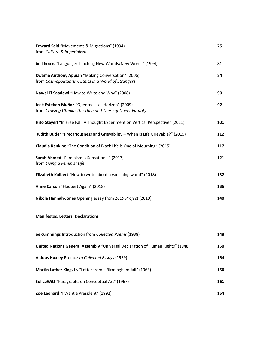| <b>Edward Said</b> "Movements & Migrations" (1994)<br>from Culture & Imperialism                               | 75  |
|----------------------------------------------------------------------------------------------------------------|-----|
| bell hooks "Language: Teaching New Worlds/New Words" (1994)                                                    | 81  |
| Kwame Anthony Appiah "Making Conversation" (2006)<br>from Cosmopolitanism: Ethics in a World of Strangers      | 84  |
| Nawal El Saadawi "How to Write and Why" (2008)                                                                 | 90  |
| José Esteban Muñoz "Queerness as Horizon" (2009)<br>from Cruising Utopia: The Then and There of Queer Futurity | 92  |
| Hito Steyerl "In Free Fall: A Thought Experiment on Vertical Perspective" (2011)                               | 101 |
| Judith Butler "Precariousness and Grievability - When Is Life Grievable?" (2015)                               | 112 |
| Claudia Rankine "The Condition of Black Life is One of Mourning" (2015)                                        | 117 |
| Sarah Ahmed "Feminism is Sensational" (2017)<br>from Living a Feminist Life                                    | 121 |
| Elizabeth Kolbert "How to write about a vanishing world" (2018)                                                | 132 |
| Anne Carson "Flaubert Again" (2018)                                                                            | 136 |
| Nikole Hannah-Jones Opening essay from 1619 Project (2019)                                                     | 140 |

## **Manifestos, Letters, Declarations**

| ee cummings Introduction from Collected Poems (1938)                           | 148 |
|--------------------------------------------------------------------------------|-----|
| United Nations General Assembly "Universal Declaration of Human Rights" (1948) | 150 |
| <b>Aldous Huxley</b> Preface to Collected Essays (1959)                        | 154 |
| <b>Martin Luther King, Jr.</b> "Letter from a Birmingham Jail" (1963)          | 156 |
| Sol LeWitt "Paragraphs on Conceptual Art" (1967)                               | 161 |
| Zoe Leonard "I Want a President" (1992)                                        | 164 |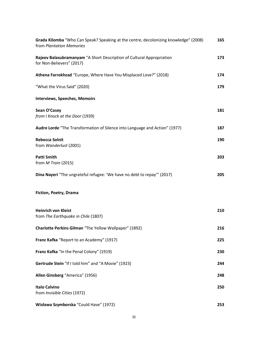| Grada Kilomba "Who Can Speak? Speaking at the centre, decolonizing knowledge" (2008)<br>from Plantation Memories | 165 |
|------------------------------------------------------------------------------------------------------------------|-----|
| Rajeev Balasubramanyam "A Short Description of Cultural Appropriation<br>for Non-Believers" (2017)               | 173 |
| Athena Farrokhzad "Europe, Where Have You Misplaced Love?" (2018)                                                | 174 |
| "What the Virus Said" (2020)                                                                                     | 179 |
| <b>Interviews, Speeches, Memoirs</b>                                                                             |     |
| Sean O'Casey<br>from I Knock at the Door (1939)                                                                  | 181 |
| Audre Lorde "The Transformation of Silence into Language and Action" (1977)                                      | 187 |
| <b>Rebecca Solnit</b><br>from Wanderlust (2001)                                                                  | 190 |
| <b>Patti Smith</b><br>from $M$ Train (2015)                                                                      | 203 |
| Dina Nayeri "The ungrateful refugee: 'We have no debt to repay'" (2017)                                          | 205 |
| Fiction, Poetry, Drama                                                                                           |     |
| <b>Heinrich von Kleist</b><br>from The Earthquake in Chile (1807)                                                | 210 |
| Charlotte Perkins Gilman "The Yellow Wallpaper" (1892)                                                           | 216 |
| Franz Kafka "Report to an Academy" (1917)                                                                        | 225 |
| Franz Kafka "In the Penal Colony" (1919)                                                                         | 230 |
| Gertrude Stein "If I told him" and "A Movie" (1923)                                                              | 244 |
| Allen Ginsberg "America" (1956)                                                                                  | 248 |
| <b>Italo Calvino</b><br>from Invisible Cities (1972)                                                             | 250 |
| Wisława Szymborska "Could Have" (1972)                                                                           | 253 |